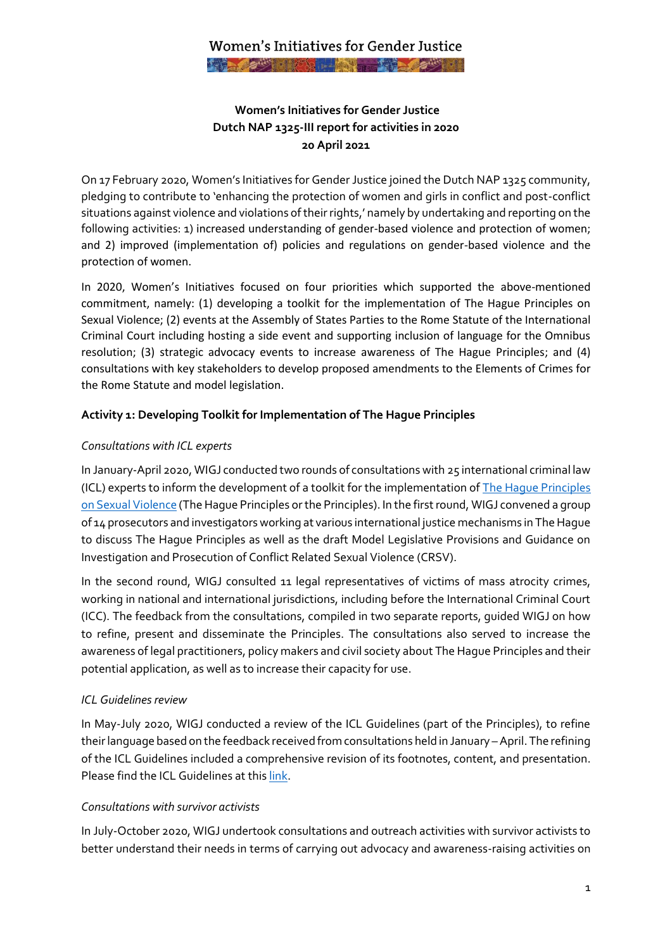# **Women's Initiatives for Gender Justice Dutch NAP 1325-III report for activities in 2020 20 April 2021**

On 17 February 2020, Women's Initiatives for Gender Justice joined the Dutch NAP 1325 community, pledging to contribute to 'enhancing the protection of women and girls in conflict and post-conflict situations against violence and violations of their rights,' namely by undertaking and reporting on the following activities: 1) increased understanding of gender-based violence and protection of women; and 2) improved (implementation of) policies and regulations on gender-based violence and the protection of women.

In 2020, Women's Initiatives focused on four priorities which supported the above-mentioned commitment, namely: (1) developing a toolkit for the implementation of The Hague Principles on Sexual Violence; (2) events at the Assembly of States Parties to the Rome Statute of the International Criminal Court including hosting a side event and supporting inclusion of language for the Omnibus resolution; (3) strategic advocacy events to increase awareness of The Hague Principles; and (4) consultations with key stakeholders to develop proposed amendments to the Elements of Crimes for the Rome Statute and model legislation.

### **Activity 1: Developing Toolkit for Implementation of The Hague Principles**

### *Consultations with ICL experts*

In January-April 2020, WIGJ conducted two rounds of consultations with 25 international criminal law (ICL) experts to inform the development of a toolkit for the implementation o[f The Hague Principles](https://thehagueprinciples.org/)  [on Sexual Violence](https://thehagueprinciples.org/) (The Hague Principles or the Principles). In the first round, WIGJ convened a group of 14 prosecutors and investigators working at various international justice mechanisms in The Hague to discuss The Hague Principles as well as the draft Model Legislative Provisions and Guidance on Investigation and Prosecution of Conflict Related Sexual Violence (CRSV).

In the second round, WIGJ consulted 11 legal representatives of victims of mass atrocity crimes, working in national and international jurisdictions, including before the International Criminal Court (ICC). The feedback from the consultations, compiled in two separate reports, guided WIGJ on how to refine, present and disseminate the Principles. The consultations also served to increase the awareness of legal practitioners, policy makers and civil society about The Hague Principles and their potential application, as well as to increase their capacity for use.

### *ICL Guidelines review*

In May-July 2020, WIGJ conducted a review of the ICL Guidelines (part of the Principles), to refine their language based on the feedback received from consultations held in January - April. The refining of the ICL Guidelines included a comprehensive revision of its footnotes, content, and presentation. Please find the ICL Guidelines at thi[s link.](https://4genderjustice.org/ftp-files/publications/The-Hague-Principles-on-Sexual-Violence.pdf)

### *Consultations with survivor activists*

In July-October 2020, WIGJ undertook consultations and outreach activities with survivor activists to better understand their needs in terms of carrying out advocacy and awareness-raising activities on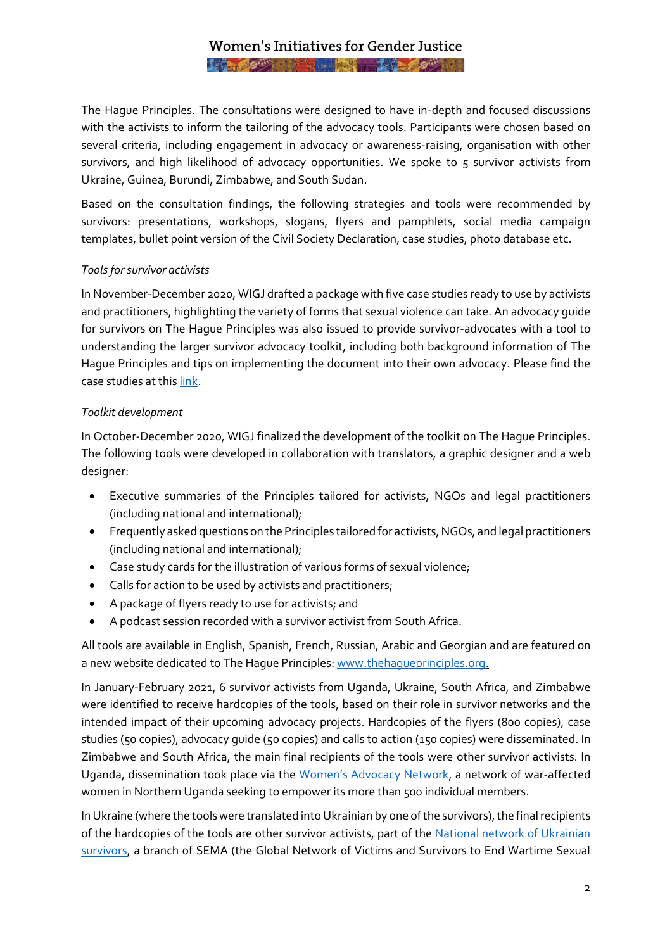# Women's Initiatives for Gender Justice **And Address of the first contract of the contract of the contract of the contract of the contract of the contract of the contract of the contract of the contract of the contract of the contract of the contract of the cont**

The Hague Principles. The consultations were designed to have in-depth and focused discussions with the activists to inform the tailoring of the advocacy tools. Participants were chosen based on several criteria, including engagement in advocacy or awareness-raising, organisation with other survivors, and high likelihood of advocacy opportunities. We spoke to 5 survivor activists from Ukraine, Guinea, Burundi, Zimbabwe, and South Sudan.

Based on the consultation findings, the following strategies and tools were recommended by survivors: presentations, workshops, slogans, flyers and pamphlets, social media campaign templates, bullet point version of the Civil Society Declaration, case studies, photo database etc.

#### *Tools for survivor activists*

In November-December 2020, WIGJ drafted a package with five case studies ready to use by activists and practitioners, highlighting the variety of forms that sexual violence can take. An advocacy guide for survivors on The Hague Principles was also issued to provide survivor-advocates with a tool to understanding the larger survivor advocacy toolkit, including both background information of The Hague Principles and tips on implementing the document into their own advocacy. Please find the case studies at thi[s link.](https://thehagueprinciples.org/wp-content/uploads/2021/02/Case-Study-Package.pdf)

### *Toolkit development*

In October-December 2020, WIGJ finalized the development of the toolkit on The Hague Principles. The following tools were developed in collaboration with translators, a graphic designer and a web designer:

- Executive summaries of the Principles tailored for activists, NGOs and legal practitioners (including national and international);
- Frequently asked questions on the Principles tailored for activists, NGOs, and legal practitioners (including national and international);
- Case study cards for the illustration of various forms of sexual violence;
- Calls for action to be used by activists and practitioners;
- A package of flyers ready to use for activists; and
- A podcast session recorded with a survivor activist from South Africa.

All tools are available in English, Spanish, French, Russian, Arabic and Georgian and are featured on a new website dedicated to The Hague Principles[: www.thehagueprinciples.org.](http://www.thehagueprinciples.org/)

In January-February 2021, 6 survivor activists from Uganda, Ukraine, South Africa, and Zimbabwe were identified to receive hardcopies of the tools, based on their role in survivor networks and the intended impact of their upcoming advocacy projects. Hardcopies of the flyers (800 copies), case studies (50 copies), advocacy guide (50 copies) and calls to action (150 copies) were disseminated. In Zimbabwe and South Africa, the main final recipients of the tools were other survivor activists. In Uganda, dissemination took place via the [Women's Advocacy Network](https://blogs.ubc.ca/wanuganda/about-wan/), a network of war-affected women in Northern Uganda seeking to empower its more than 500 individual members.

In Ukraine (where the tools were translated into Ukrainian by one of the survivors), the final recipients of the hardcopies of the tools are other survivor activists, part of the [National network of Ukrainian](https://www.semanetwork.org/network-members-ukraine/)  [survivors,](https://www.semanetwork.org/network-members-ukraine/) a branch of SEMA (the Global Network of Victims and Survivors to End Wartime Sexual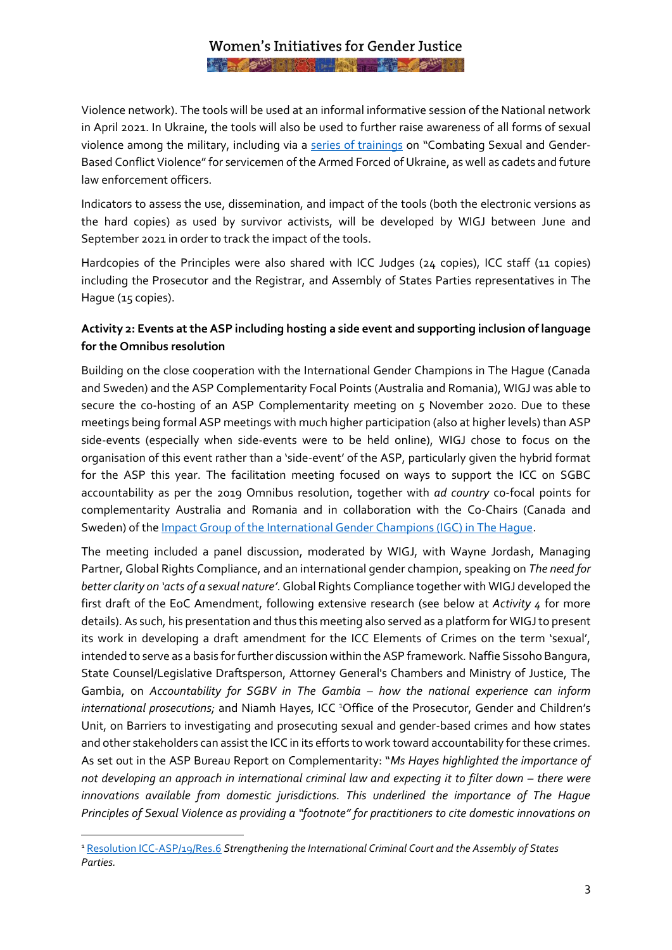## Women's Initiatives for Gender Justice AND AND POST TIME TO BE A PARTIES.

Violence network). The tools will be used at an informal informative session of the National network in April 2021. In Ukraine, the tools will also be used to further raise awareness of all forms of sexual violence among the military, including via a [series of trainings](https://genderindetail.org.ua/news/borotba-z-nasylstvom-na-donbasi.html) on "Combating Sexual and Gender-Based Conflict Violence" for servicemen of the Armed Forced of Ukraine, as well as cadets and future law enforcement officers.

Indicators to assess the use, dissemination, and impact of the tools (both the electronic versions as the hard copies) as used by survivor activists, will be developed by WIGJ between June and September 2021 in order to track the impact of the tools.

Hardcopies of the Principles were also shared with ICC Judges (24 copies), ICC staff (11 copies) including the Prosecutor and the Registrar, and Assembly of States Parties representatives in The Hague (15 copies).

## **Activity 2: Events at the ASP including hosting a side event and supporting inclusion of language for the Omnibus resolution**

Building on the close cooperation with the International Gender Champions in The Hague (Canada and Sweden) and the ASP Complementarity Focal Points (Australia and Romania), WIGJ was able to secure the co-hosting of an ASP Complementarity meeting on 5 November 2020. Due to these meetings being formal ASP meetings with much higher participation (also at higher levels) than ASP side-events (especially when side-events were to be held online), WIGJ chose to focus on the organisation of this event rather than a 'side-event' of the ASP, particularly given the hybrid format for the ASP this year. The facilitation meeting focused on ways to support the ICC on SGBC accountability as per the 2019 Omnibus resolution, together with *ad country* co-focal points for complementarity Australia and Romania and in collaboration with the Co-Chairs (Canada and Sweden) of the [Impact Group of the International Gender Champions \(IGC\) in The Hague.](https://genderchampions.com/impact/justice)

The meeting included a panel discussion, moderated by WIGJ, with Wayne Jordash, Managing Partner, Global Rights Compliance, and an international gender champion, speaking on *The need for better clarity on 'acts of a sexual nature'*. Global Rights Compliance together with WIGJ developed the first draft of the EoC Amendment, following extensive research (see below at *Activity 4* for more details). As such*,* his presentation and thus this meeting also served as a platform for WIGJ to present its work in developing a draft amendment for the ICC Elements of Crimes on the term 'sexual', intended to serve as a basis for further discussion within the ASP framework*.* Naffie Sissoho Bangura, State Counsel/Legislative Draftsperson, Attorney General's Chambers and Ministry of Justice, The Gambia, on *Accountability for SGBV in The Gambia – how the national experience can inform international prosecutions;* and Niamh Hayes, ICC<sup>1</sup>Office of the Prosecutor, Gender and Children's Unit, on Barriers to investigating and prosecuting sexual and gender-based crimes and how states and other stakeholders can assist the ICC in its efforts to work toward accountability for these crimes. As set out in the ASP Bureau Report on Complementarity: "*Ms Hayes highlighted the importance of not developing an approach in international criminal law and expecting it to filter down – there were innovations available from domestic jurisdictions. This underlined the importance of The Hague Principles of Sexual Violence as providing a "footnote" for practitioners to cite domestic innovations on* 

<sup>1</sup> [Resolution ICC-ASP/19/Res.6](https://asp.icc-cpi.int/iccdocs/asp_docs/ASP19/ICC-ASP-19-Res6-ENG.pdf) *Strengthening the International Criminal Court and the Assembly of States Parties.*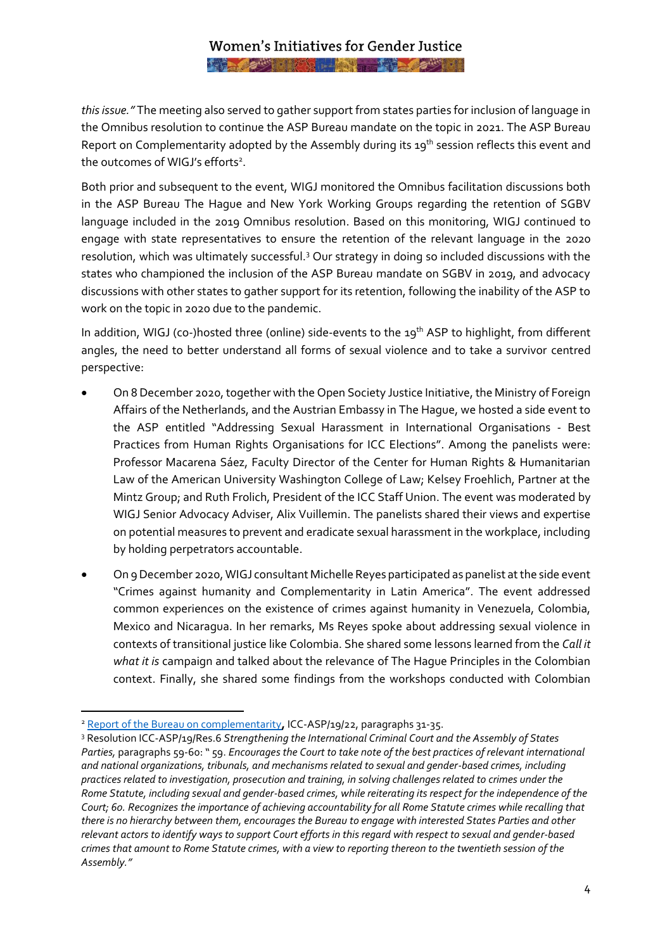## Women's Initiatives for Gender Justice AND AND POST TIME TO BE A PARTIES.

*this issue."* The meeting also served to gather support from states parties for inclusion of language in the Omnibus resolution to continue the ASP Bureau mandate on the topic in 2021. The ASP Bureau Report on Complementarity adopted by the Assembly during its 19<sup>th</sup> session reflects this event and the outcomes of WIGJ's efforts<sup>2</sup>.

Both prior and subsequent to the event, WIGJ monitored the Omnibus facilitation discussions both in the ASP Bureau The Hague and New York Working Groups regarding the retention of SGBV language included in the 2019 Omnibus resolution. Based on this monitoring, WIGJ continued to engage with state representatives to ensure the retention of the relevant language in the 2020 resolution, which was ultimately successful.<sup>3</sup> Our strategy in doing so included discussions with the states who championed the inclusion of the ASP Bureau mandate on SGBV in 2019, and advocacy discussions with other states to gather support for its retention, following the inability of the ASP to work on the topic in 2020 due to the pandemic.

In addition, WIGJ (co-)hosted three (online) side-events to the 19<sup>th</sup> ASP to highlight, from different angles, the need to better understand all forms of sexual violence and to take a survivor centred perspective:

- On 8 December 2020, together with the Open Society Justice Initiative, the Ministry of Foreign Affairs of the Netherlands, and the Austrian Embassy in The Hague, we hosted a side event to the ASP entitled "Addressing Sexual Harassment in International Organisations - Best Practices from Human Rights Organisations for ICC Elections". Among the panelists were: Professor Macarena Sáez, Faculty Director of the Center for Human Rights & Humanitarian Law of the American University Washington College of Law; Kelsey Froehlich, Partner at the Mintz Group; and Ruth Frolich, President of the ICC Staff Union. The event was moderated by WIGJ Senior Advocacy Adviser, Alix Vuillemin. The panelists shared their views and expertise on potential measures to prevent and eradicate sexual harassment in the workplace, including by holding perpetrators accountable.
- On 9 December 2020, WIGJ consultant Michelle Reyes participated as panelist at the side event "Crimes against humanity and Complementarity in Latin America". The event addressed common experiences on the existence of crimes against humanity in Venezuela, Colombia, Mexico and Nicaragua. In her remarks, Ms Reyes spoke about addressing sexual violence in contexts of transitional justice like Colombia. She shared some lessons learned from the *Call it what it is* campaign and talked about the relevance of The Hague Principles in the Colombian context. Finally, she shared some findings from the workshops conducted with Colombian

<sup>2</sup> Report of the Bureau on [complementarity](https://asp.icc-cpi.int/iccdocs/asp_docs/ASP19/ICC-ASP-19-22-ENG-Complementarity-08dec20-1500.pdf)**,** ICC-ASP/19/22, paragraphs 31-35.

<sup>3</sup> Resolution ICC-ASP/19/Res.6 *Strengthening the International Criminal Court and the Assembly of States Parties,* paragraphs 59-60: " 59. *Encourages the Court to take note of the best practices of relevant international and national organizations, tribunals, and mechanisms related to sexual and gender-based crimes, including practices related to investigation, prosecution and training, in solving challenges related to crimes under the Rome Statute, including sexual and gender-based crimes, while reiterating its respect for the independence of the Court; 60. Recognizes the importance of achieving accountability for all Rome Statute crimes while recalling that there is no hierarchy between them, encourages the Bureau to engage with interested States Parties and other relevant actors to identify ways to support Court efforts in this regard with respect to sexual and gender-based crimes that amount to Rome Statute crimes, with a view to reporting thereon to the twentieth session of the Assembly."*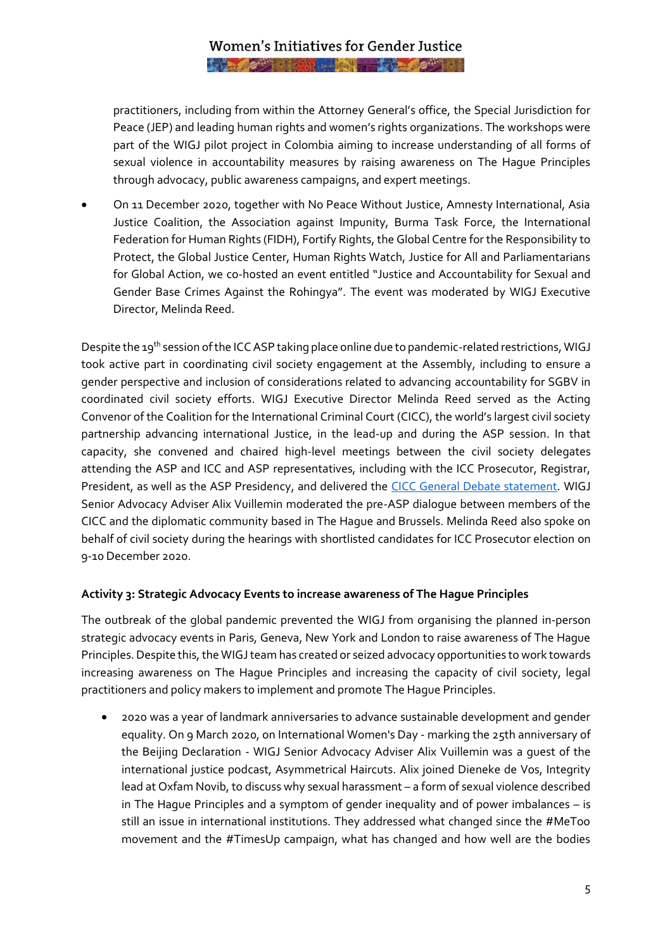# Women's Initiatives for Gender Justice **AND AND PROFILE TO BE AND DESCRIPTION**

practitioners, including from within the Attorney General's office, the Special Jurisdiction for Peace (JEP) and leading human rights and women's rights organizations. The workshops were part of the WIGJ pilot project in Colombia aiming to increase understanding of all forms of sexual violence in accountability measures by raising awareness on The Hague Principles through advocacy, public awareness campaigns, and expert meetings.

• On 11 December 2020, together with No Peace Without Justice, Amnesty International, Asia Justice Coalition, the Association against Impunity, Burma Task Force, the International Federation for Human Rights (FIDH), Fortify Rights, the Global Centre for the Responsibility to Protect, the Global Justice Center, Human Rights Watch, Justice for All and Parliamentarians for Global Action, we co-hosted an event entitled "Justice and Accountability for Sexual and Gender Base Crimes Against the Rohingya". The event was moderated by WIGJ Executive Director, Melinda Reed.

Despite the 19<sup>th</sup> session of the ICC ASP taking place online due to pandemic-related restrictions, WIGJ took active part in coordinating civil society engagement at the Assembly, including to ensure a gender perspective and inclusion of considerations related to advancing accountability for SGBV in coordinated civil society efforts. WIGJ Executive Director Melinda Reed served as the Acting Convenor of the Coalition for the International Criminal Court (CICC), the world's largest civil society partnership advancing international Justice, in the lead-up and during the ASP session. In that capacity, she convened and chaired high-level meetings between the civil society delegates attending the ASP and ICC and ASP representatives, including with the ICC Prosecutor, Registrar, President, as well as the ASP Presidency, and delivered the [CICC General Debate statement.](https://youtu.be/7-YJRgXxgeA) WIGJ Senior Advocacy Adviser Alix Vuillemin moderated the pre-ASP dialogue between members of the CICC and the diplomatic community based in The Hague and Brussels. Melinda Reed also spoke on behalf of civil society during the hearings with shortlisted candidates for ICC Prosecutor election on 9-10 December 2020.

#### **Activity 3: Strategic Advocacy Events to increase awareness of The Hague Principles**

The outbreak of the global pandemic prevented the WIGJ from organising the planned in-person strategic advocacy events in Paris, Geneva, New York and London to raise awareness of The Hague Principles.Despite this, the WIGJ team has created or seized advocacy opportunities to work towards increasing awareness on The Hague Principles and increasing the capacity of civil society, legal practitioners and policy makers to implement and promote The Hague Principles.

• 2020 was a year of landmark anniversaries to advance sustainable development and gender equality. On 9 March 2020, on International Women's Day - marking the 25th anniversary of the Beijing Declaration - WIGJ Senior Advocacy Adviser Alix Vuillemin was a guest of the international justice podcast, Asymmetrical Haircuts. Alix joined Dieneke de Vos, Integrity lead at Oxfam Novib, to discuss why sexual harassment – a form of sexual violence described in The Hague Principles and a symptom of gender inequality and of power imbalances – is still an issue in international institutions. They addressed what changed since the #MeToo movement and the #TimesUp campaign, what has changed and how well are the bodies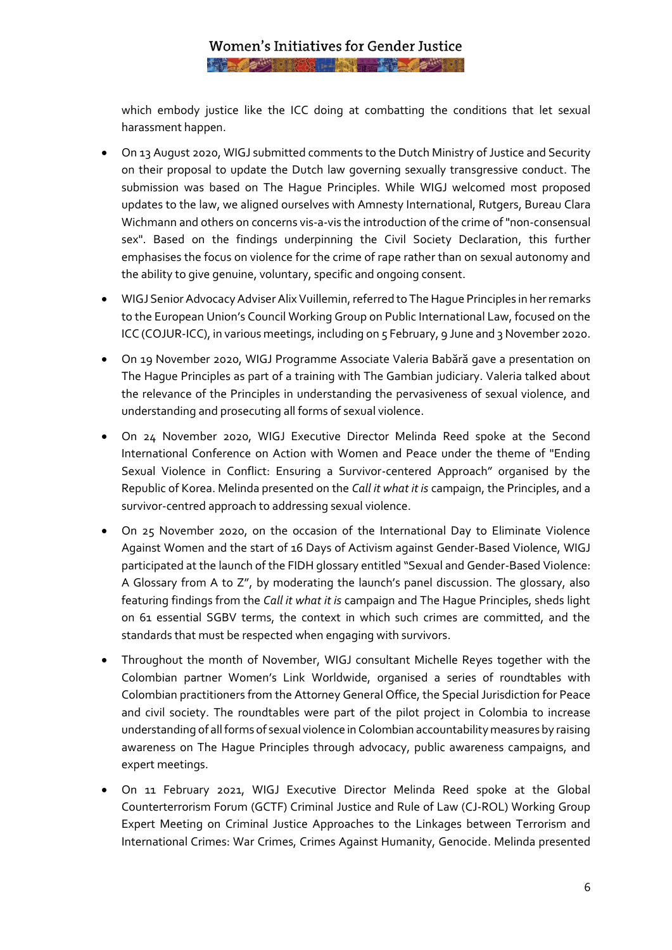which embody justice like the ICC doing at combatting the conditions that let sexual harassment happen.

- On 13 August 2020, WIGJ submitted comments to the Dutch Ministry of Justice and Security on their proposal to update the Dutch law governing sexually transgressive conduct. The submission was based on The Hague Principles. While WIGJ welcomed most proposed updates to the law, we aligned ourselves with Amnesty International, Rutgers, Bureau Clara Wichmann and others on concerns vis-a-vis the introduction of the crime of "non-consensual sex". Based on the findings underpinning the Civil Society Declaration, this further emphasises the focus on violence for the crime of rape rather than on sexual autonomy and the ability to give genuine, voluntary, specific and ongoing consent.
- WIGJ Senior Advocacy Adviser Alix Vuillemin, referred to The Hague Principles in her remarks to the European Union's Council Working Group on Public International Law, focused on the ICC (COJUR-ICC), in various meetings, including on 5 February, 9 June and 3 November 2020.
- On 19 November 2020, WIGJ Programme Associate Valeria Babără gave a presentation on The Hague Principles as part of a training with The Gambian judiciary. Valeria talked about the relevance of the Principles in understanding the pervasiveness of sexual violence, and understanding and prosecuting all forms of sexual violence.
- On 24 November 2020, WIGJ Executive Director Melinda Reed spoke at the Second International Conference on Action with Women and Peace under the theme of "Ending Sexual Violence in Conflict: Ensuring a Survivor-centered Approach" organised by the Republic of Korea. Melinda presented on the *Call it what it is* campaign, the Principles, and a survivor-centred approach to addressing sexual violence.
- On 25 November 2020, on the occasion of the International Day to Eliminate Violence Against Women and the start of 16 Days of Activism against Gender-Based Violence, WIGJ participated at the launch of the FIDH glossary entitled "Sexual and Gender-Based Violence: A Glossary from A to Z", by moderating the launch's panel discussion. The glossary, also featuring findings from the *Call it what it is* campaign and The Hague Principles, sheds light on 61 essential SGBV terms, the context in which such crimes are committed, and the standards that must be respected when engaging with survivors.
- Throughout the month of November, WIGJ consultant Michelle Reyes together with the Colombian partner Women's Link Worldwide, organised a series of roundtables with Colombian practitioners from the Attorney General Office, the Special Jurisdiction for Peace and civil society. The roundtables were part of the pilot project in Colombia to increase understanding of all forms of sexual violence in Colombian accountability measures by raising awareness on The Hague Principles through advocacy, public awareness campaigns, and expert meetings.
- On 11 February 2021, WIGJ Executive Director Melinda Reed spoke at the Global Counterterrorism Forum (GCTF) Criminal Justice and Rule of Law (CJ-ROL) Working Group Expert Meeting on Criminal Justice Approaches to the Linkages between Terrorism and International Crimes: War Crimes, Crimes Against Humanity, Genocide. Melinda presented